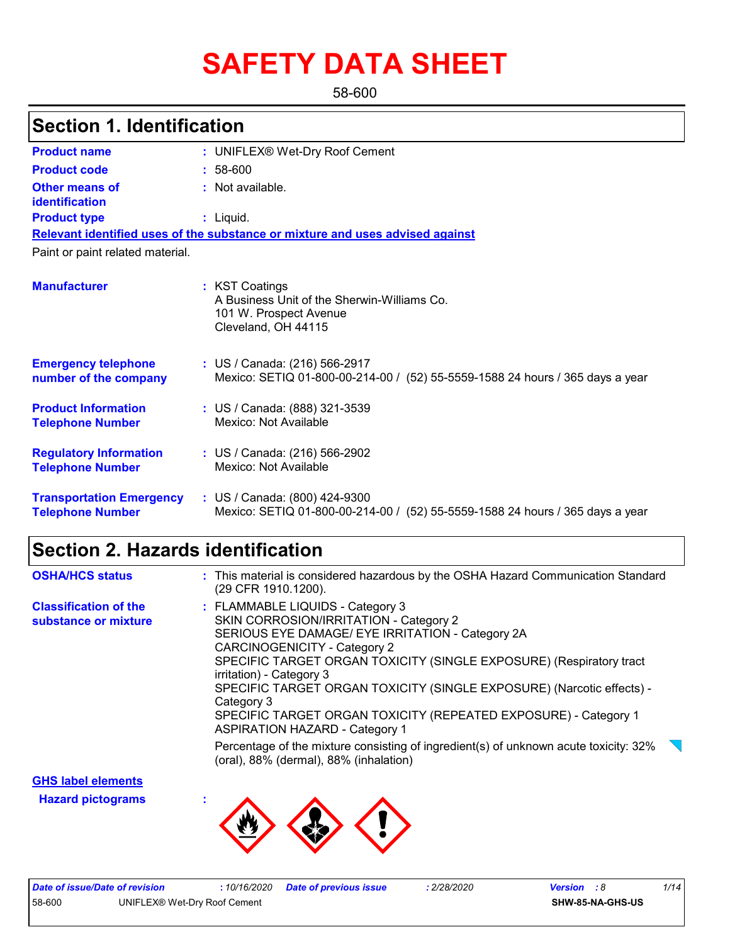# **SAFETY DATA SHEET**

58-600

| <b>Section 1. Identification</b>                           |                                                                                                                |
|------------------------------------------------------------|----------------------------------------------------------------------------------------------------------------|
| <b>Product name</b>                                        | : UNIFLEX® Wet-Dry Roof Cement                                                                                 |
| <b>Product code</b>                                        | $: 58-600$                                                                                                     |
| Other means of<br><b>identification</b>                    | : Not available.                                                                                               |
| <b>Product type</b>                                        | : Liquid.                                                                                                      |
|                                                            | Relevant identified uses of the substance or mixture and uses advised against                                  |
| Paint or paint related material.                           |                                                                                                                |
| <b>Manufacturer</b>                                        | : KST Coatings<br>A Business Unit of the Sherwin-Williams Co.<br>101 W. Prospect Avenue<br>Cleveland, OH 44115 |
| <b>Emergency telephone</b><br>number of the company        | : US / Canada: (216) 566-2917<br>Mexico: SETIQ 01-800-00-214-00 / (52) 55-5559-1588 24 hours / 365 days a year |
| <b>Product Information</b><br><b>Telephone Number</b>      | : US / Canada: (888) 321-3539<br>Mexico: Not Available                                                         |
| <b>Regulatory Information</b><br><b>Telephone Number</b>   | : US / Canada: (216) 566-2902<br>Mexico: Not Available                                                         |
| <b>Transportation Emergency</b><br><b>Telephone Number</b> | : US / Canada: (800) 424-9300<br>Mexico: SETIQ 01-800-00-214-00 / (52) 55-5559-1588 24 hours / 365 days a year |

## **Section 2. Hazards identification**

| <b>OSHA/HCS status</b>                               | : This material is considered hazardous by the OSHA Hazard Communication Standard<br>(29 CFR 1910.1200).                                                                                                                                                                                                                                                                                                                                                                                                                                                                                               |
|------------------------------------------------------|--------------------------------------------------------------------------------------------------------------------------------------------------------------------------------------------------------------------------------------------------------------------------------------------------------------------------------------------------------------------------------------------------------------------------------------------------------------------------------------------------------------------------------------------------------------------------------------------------------|
| <b>Classification of the</b><br>substance or mixture | : FLAMMABLE LIQUIDS - Category 3<br>SKIN CORROSION/IRRITATION - Category 2<br>SERIOUS EYE DAMAGE/ EYE IRRITATION - Category 2A<br>CARCINOGENICITY - Category 2<br>SPECIFIC TARGET ORGAN TOXICITY (SINGLE EXPOSURE) (Respiratory tract<br>irritation) - Category 3<br>SPECIFIC TARGET ORGAN TOXICITY (SINGLE EXPOSURE) (Narcotic effects) -<br>Category 3<br>SPECIFIC TARGET ORGAN TOXICITY (REPEATED EXPOSURE) - Category 1<br><b>ASPIRATION HAZARD - Category 1</b><br>Percentage of the mixture consisting of ingredient(s) of unknown acute toxicity: 32%<br>(oral), 88% (dermal), 88% (inhalation) |

**Hazard pictograms : GHS label elements**

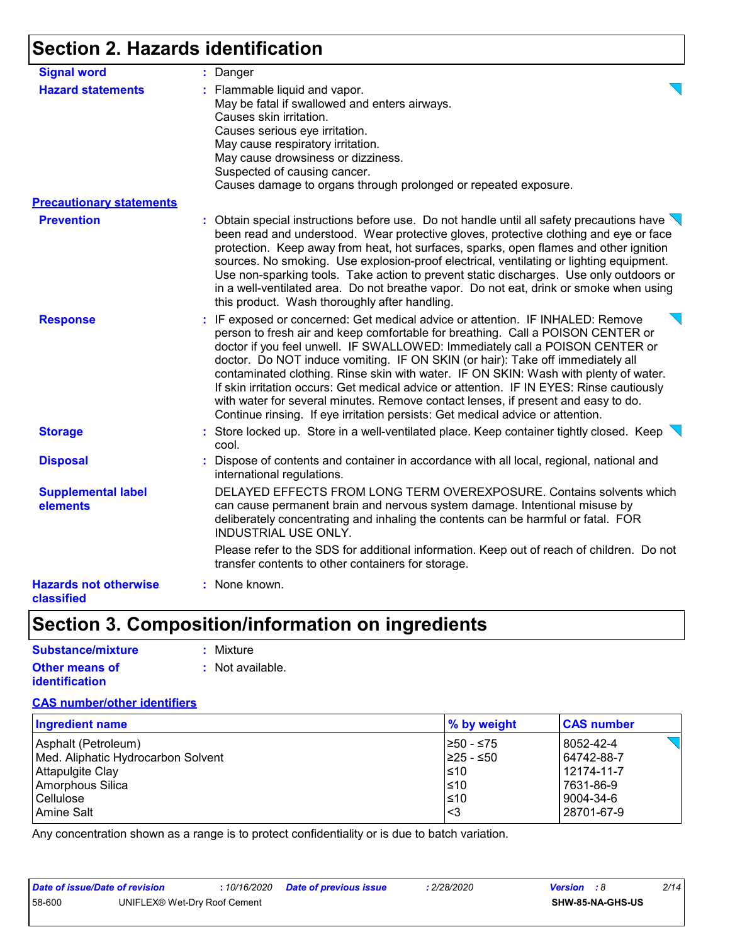### **Section 2. Hazards identification**

| <b>Signal word</b>                         | : Danger                                                                                                                                                                                                                                                                                                                                                                                                                                                                                                                                                                                                                                                                                       |
|--------------------------------------------|------------------------------------------------------------------------------------------------------------------------------------------------------------------------------------------------------------------------------------------------------------------------------------------------------------------------------------------------------------------------------------------------------------------------------------------------------------------------------------------------------------------------------------------------------------------------------------------------------------------------------------------------------------------------------------------------|
| <b>Hazard statements</b>                   | : Flammable liquid and vapor.                                                                                                                                                                                                                                                                                                                                                                                                                                                                                                                                                                                                                                                                  |
|                                            | May be fatal if swallowed and enters airways.                                                                                                                                                                                                                                                                                                                                                                                                                                                                                                                                                                                                                                                  |
|                                            | Causes skin irritation.                                                                                                                                                                                                                                                                                                                                                                                                                                                                                                                                                                                                                                                                        |
|                                            | Causes serious eye irritation.                                                                                                                                                                                                                                                                                                                                                                                                                                                                                                                                                                                                                                                                 |
|                                            | May cause respiratory irritation.                                                                                                                                                                                                                                                                                                                                                                                                                                                                                                                                                                                                                                                              |
|                                            | May cause drowsiness or dizziness.                                                                                                                                                                                                                                                                                                                                                                                                                                                                                                                                                                                                                                                             |
|                                            | Suspected of causing cancer.                                                                                                                                                                                                                                                                                                                                                                                                                                                                                                                                                                                                                                                                   |
|                                            | Causes damage to organs through prolonged or repeated exposure.                                                                                                                                                                                                                                                                                                                                                                                                                                                                                                                                                                                                                                |
| <b>Precautionary statements</b>            |                                                                                                                                                                                                                                                                                                                                                                                                                                                                                                                                                                                                                                                                                                |
| <b>Prevention</b>                          | : Obtain special instructions before use. Do not handle until all safety precautions have $\setminus$<br>been read and understood. Wear protective gloves, protective clothing and eye or face<br>protection. Keep away from heat, hot surfaces, sparks, open flames and other ignition<br>sources. No smoking. Use explosion-proof electrical, ventilating or lighting equipment.<br>Use non-sparking tools. Take action to prevent static discharges. Use only outdoors or<br>in a well-ventilated area. Do not breathe vapor. Do not eat, drink or smoke when using<br>this product. Wash thoroughly after handling.                                                                        |
| <b>Response</b>                            | : IF exposed or concerned: Get medical advice or attention. IF INHALED: Remove<br>person to fresh air and keep comfortable for breathing. Call a POISON CENTER or<br>doctor if you feel unwell. IF SWALLOWED: Immediately call a POISON CENTER or<br>doctor. Do NOT induce vomiting. IF ON SKIN (or hair): Take off immediately all<br>contaminated clothing. Rinse skin with water. IF ON SKIN: Wash with plenty of water.<br>If skin irritation occurs: Get medical advice or attention. IF IN EYES: Rinse cautiously<br>with water for several minutes. Remove contact lenses, if present and easy to do.<br>Continue rinsing. If eye irritation persists: Get medical advice or attention. |
| <b>Storage</b>                             | : Store locked up. Store in a well-ventilated place. Keep container tightly closed. Keep<br>cool.                                                                                                                                                                                                                                                                                                                                                                                                                                                                                                                                                                                              |
| <b>Disposal</b>                            | : Dispose of contents and container in accordance with all local, regional, national and<br>international regulations.                                                                                                                                                                                                                                                                                                                                                                                                                                                                                                                                                                         |
| <b>Supplemental label</b><br>elements      | DELAYED EFFECTS FROM LONG TERM OVEREXPOSURE. Contains solvents which<br>can cause permanent brain and nervous system damage. Intentional misuse by<br>deliberately concentrating and inhaling the contents can be harmful or fatal. FOR<br><b>INDUSTRIAL USE ONLY.</b>                                                                                                                                                                                                                                                                                                                                                                                                                         |
|                                            | Please refer to the SDS for additional information. Keep out of reach of children. Do not<br>transfer contents to other containers for storage.                                                                                                                                                                                                                                                                                                                                                                                                                                                                                                                                                |
| <b>Hazards not otherwise</b><br>classified | : None known.                                                                                                                                                                                                                                                                                                                                                                                                                                                                                                                                                                                                                                                                                  |

## **Section 3. Composition/information on ingredients**

| Substance/mixture     | : Mixture        |
|-----------------------|------------------|
| <b>Other means of</b> | : Not available. |
| <i>identification</i> |                  |

#### **CAS number/other identifiers**

| <b>Ingredient name</b>             | $\%$ by weight | <b>CAS number</b> |
|------------------------------------|----------------|-------------------|
| Asphalt (Petroleum)                | I≥50 - ≤75     | 8052-42-4         |
| Med. Aliphatic Hydrocarbon Solvent | I≥25 - ≤50     | 64742-88-7        |
| Attapulgite Clay                   | l≤10           | 12174-11-7        |
| Amorphous Silica                   | $≤10$          | 7631-86-9         |
| Cellulose                          | $\leq 10$      | 9004-34-6         |
| <b>Amine Salt</b>                  | l<3            | 28701-67-9        |

Any concentration shown as a range is to protect confidentiality or is due to batch variation.

| Date of issue/Date of revision |                              |  | 2/28/2020 | <b>Version</b> : 8 |                         | 2/14 |  |
|--------------------------------|------------------------------|--|-----------|--------------------|-------------------------|------|--|
| 58-600                         | UNIFLEX® Wet-Drv Roof Cement |  |           |                    | <b>SHW-85-NA-GHS-US</b> |      |  |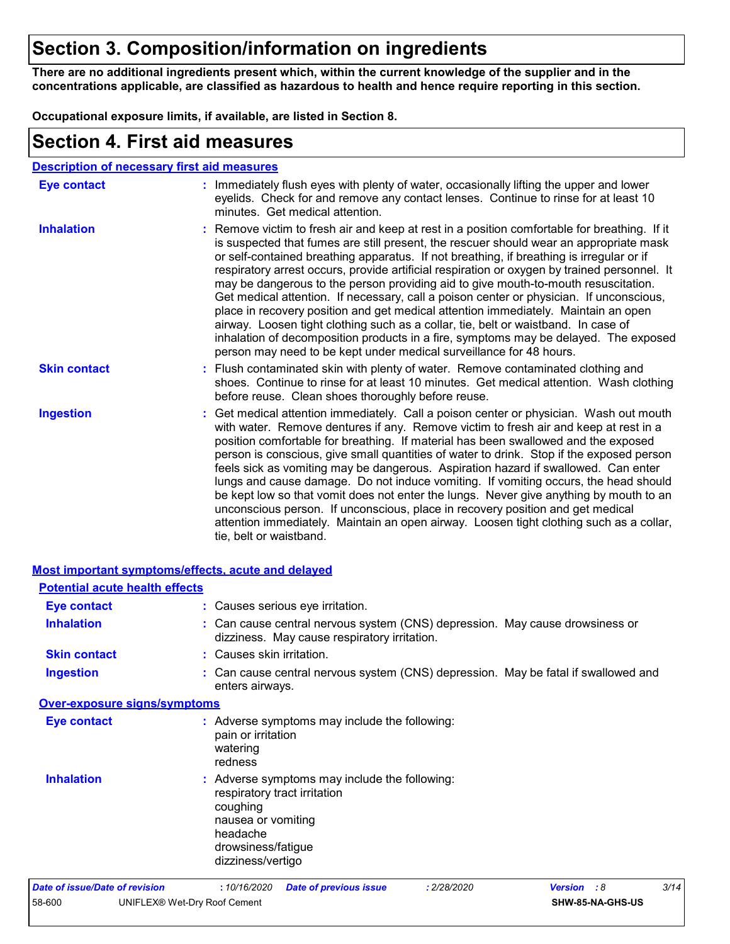### **Section 3. Composition/information on ingredients**

**There are no additional ingredients present which, within the current knowledge of the supplier and in the concentrations applicable, are classified as hazardous to health and hence require reporting in this section.**

**Occupational exposure limits, if available, are listed in Section 8.**

|                     | <b>Section 4. First aid measures</b>                                                                                                                                                                                                                                                                                                                                                                                                                                                                                                                                                                                                                                                                                                                                                                                                                                                                           |
|---------------------|----------------------------------------------------------------------------------------------------------------------------------------------------------------------------------------------------------------------------------------------------------------------------------------------------------------------------------------------------------------------------------------------------------------------------------------------------------------------------------------------------------------------------------------------------------------------------------------------------------------------------------------------------------------------------------------------------------------------------------------------------------------------------------------------------------------------------------------------------------------------------------------------------------------|
|                     | <b>Description of necessary first aid measures</b>                                                                                                                                                                                                                                                                                                                                                                                                                                                                                                                                                                                                                                                                                                                                                                                                                                                             |
| <b>Eye contact</b>  | : Immediately flush eyes with plenty of water, occasionally lifting the upper and lower<br>eyelids. Check for and remove any contact lenses. Continue to rinse for at least 10<br>minutes. Get medical attention.                                                                                                                                                                                                                                                                                                                                                                                                                                                                                                                                                                                                                                                                                              |
| <b>Inhalation</b>   | : Remove victim to fresh air and keep at rest in a position comfortable for breathing. If it<br>is suspected that fumes are still present, the rescuer should wear an appropriate mask<br>or self-contained breathing apparatus. If not breathing, if breathing is irregular or if<br>respiratory arrest occurs, provide artificial respiration or oxygen by trained personnel. It<br>may be dangerous to the person providing aid to give mouth-to-mouth resuscitation.<br>Get medical attention. If necessary, call a poison center or physician. If unconscious,<br>place in recovery position and get medical attention immediately. Maintain an open<br>airway. Loosen tight clothing such as a collar, tie, belt or waistband. In case of<br>inhalation of decomposition products in a fire, symptoms may be delayed. The exposed<br>person may need to be kept under medical surveillance for 48 hours. |
| <b>Skin contact</b> | : Flush contaminated skin with plenty of water. Remove contaminated clothing and<br>shoes. Continue to rinse for at least 10 minutes. Get medical attention. Wash clothing<br>before reuse. Clean shoes thoroughly before reuse.                                                                                                                                                                                                                                                                                                                                                                                                                                                                                                                                                                                                                                                                               |
| <b>Ingestion</b>    | : Get medical attention immediately. Call a poison center or physician. Wash out mouth<br>with water. Remove dentures if any. Remove victim to fresh air and keep at rest in a<br>position comfortable for breathing. If material has been swallowed and the exposed<br>person is conscious, give small quantities of water to drink. Stop if the exposed person<br>feels sick as vomiting may be dangerous. Aspiration hazard if swallowed. Can enter<br>lungs and cause damage. Do not induce vomiting. If vomiting occurs, the head should<br>be kept low so that vomit does not enter the lungs. Never give anything by mouth to an<br>unconscious person. If unconscious, place in recovery position and get medical<br>attention immediately. Maintain an open airway. Loosen tight clothing such as a collar,                                                                                           |

tie, belt or waistband.

|                                |                                       | Most important symptoms/effects, acute and delayed                                                                                                                     |
|--------------------------------|---------------------------------------|------------------------------------------------------------------------------------------------------------------------------------------------------------------------|
|                                | <b>Potential acute health effects</b> |                                                                                                                                                                        |
| <b>Eye contact</b>             |                                       | : Causes serious eye irritation.                                                                                                                                       |
| <b>Inhalation</b>              |                                       | : Can cause central nervous system (CNS) depression. May cause drowsiness or<br>dizziness. May cause respiratory irritation.                                           |
| <b>Skin contact</b>            |                                       | : Causes skin irritation.                                                                                                                                              |
| <b>Ingestion</b>               |                                       | : Can cause central nervous system (CNS) depression. May be fatal if swallowed and<br>enters airways.                                                                  |
|                                | <b>Over-exposure signs/symptoms</b>   |                                                                                                                                                                        |
| <b>Eye contact</b>             |                                       | : Adverse symptoms may include the following:<br>pain or irritation<br>watering<br>redness                                                                             |
| <b>Inhalation</b>              |                                       | : Adverse symptoms may include the following:<br>respiratory tract irritation<br>coughing<br>nausea or vomiting<br>headache<br>drowsiness/fatigue<br>dizziness/vertigo |
| Date of issue/Date of revision |                                       | 3/14<br>:10/16/2020<br><b>Version</b> : 8<br><b>Date of previous issue</b><br>: 2/28/2020                                                                              |
| 58-600                         | UNIFLEX® Wet-Dry Roof Cement          | SHW-85-NA-GHS-US                                                                                                                                                       |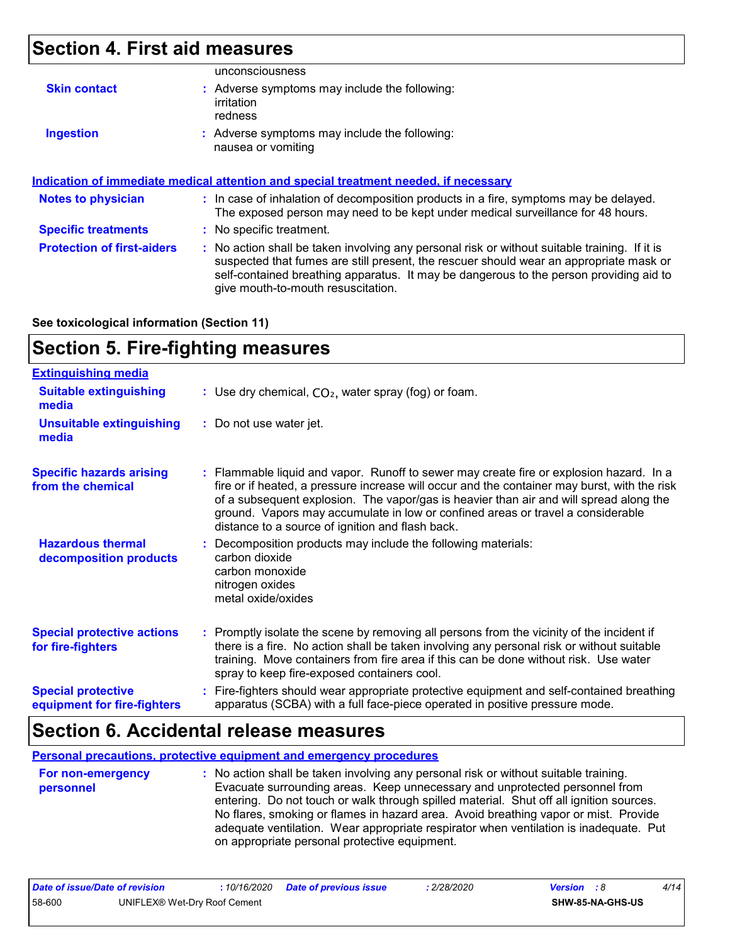### **Section 4. First aid measures**

|                            | unconsciousness                                                                                                                                                          |  |
|----------------------------|--------------------------------------------------------------------------------------------------------------------------------------------------------------------------|--|
| <b>Skin contact</b>        | : Adverse symptoms may include the following:<br>irritation<br>redness                                                                                                   |  |
| <b>Ingestion</b>           | : Adverse symptoms may include the following:<br>nausea or vomiting                                                                                                      |  |
|                            | Indication of immediate medical attention and special treatment needed, if necessary                                                                                     |  |
| <b>Notes to physician</b>  | : In case of inhalation of decomposition products in a fire, symptoms may be delayed.<br>The exposed person may need to be kept under medical surveillance for 48 hours. |  |
|                            |                                                                                                                                                                          |  |
| <b>Specific treatments</b> | : No specific treatment.                                                                                                                                                 |  |

**See toxicological information (Section 11)**

### **Section 5. Fire-fighting measures**

| <b>Extinguishing media</b>                               |                                                                                                                                                                                                                                                                                                                                                                                                                          |
|----------------------------------------------------------|--------------------------------------------------------------------------------------------------------------------------------------------------------------------------------------------------------------------------------------------------------------------------------------------------------------------------------------------------------------------------------------------------------------------------|
| <b>Suitable extinguishing</b><br>media                   | : Use dry chemical, $CO2$ , water spray (fog) or foam.                                                                                                                                                                                                                                                                                                                                                                   |
| <b>Unsuitable extinguishing</b><br>media                 | : Do not use water jet.                                                                                                                                                                                                                                                                                                                                                                                                  |
| <b>Specific hazards arising</b><br>from the chemical     | : Flammable liquid and vapor. Runoff to sewer may create fire or explosion hazard. In a<br>fire or if heated, a pressure increase will occur and the container may burst, with the risk<br>of a subsequent explosion. The vapor/gas is heavier than air and will spread along the<br>ground. Vapors may accumulate in low or confined areas or travel a considerable<br>distance to a source of ignition and flash back. |
| <b>Hazardous thermal</b><br>decomposition products       | Decomposition products may include the following materials:<br>carbon dioxide<br>carbon monoxide<br>nitrogen oxides<br>metal oxide/oxides                                                                                                                                                                                                                                                                                |
| <b>Special protective actions</b><br>for fire-fighters   | : Promptly isolate the scene by removing all persons from the vicinity of the incident if<br>there is a fire. No action shall be taken involving any personal risk or without suitable<br>training. Move containers from fire area if this can be done without risk. Use water<br>spray to keep fire-exposed containers cool.                                                                                            |
| <b>Special protective</b><br>equipment for fire-fighters | Fire-fighters should wear appropriate protective equipment and self-contained breathing<br>apparatus (SCBA) with a full face-piece operated in positive pressure mode.                                                                                                                                                                                                                                                   |

### **Section 6. Accidental release measures**

**Personal precautions, protective equipment and emergency procedures**

| <b>For non-emergency</b><br>personnel | : No action shall be taken involving any personal risk or without suitable training.<br>Evacuate surrounding areas. Keep unnecessary and unprotected personnel from<br>entering. Do not touch or walk through spilled material. Shut off all ignition sources.<br>No flares, smoking or flames in hazard area. Avoid breathing vapor or mist. Provide<br>adequate ventilation. Wear appropriate respirator when ventilation is inadequate. Put<br>on appropriate personal protective equipment. |
|---------------------------------------|-------------------------------------------------------------------------------------------------------------------------------------------------------------------------------------------------------------------------------------------------------------------------------------------------------------------------------------------------------------------------------------------------------------------------------------------------------------------------------------------------|
|                                       |                                                                                                                                                                                                                                                                                                                                                                                                                                                                                                 |

| Date of issue/Date of revision |                              | : 10/16/2020 Date of previous issue | 2/28/2020 | <b>Version</b> : 8 |                  | 4/14 |
|--------------------------------|------------------------------|-------------------------------------|-----------|--------------------|------------------|------|
| 58-600                         | UNIFLEX® Wet-Dry Roof Cement |                                     |           |                    | SHW-85-NA-GHS-US |      |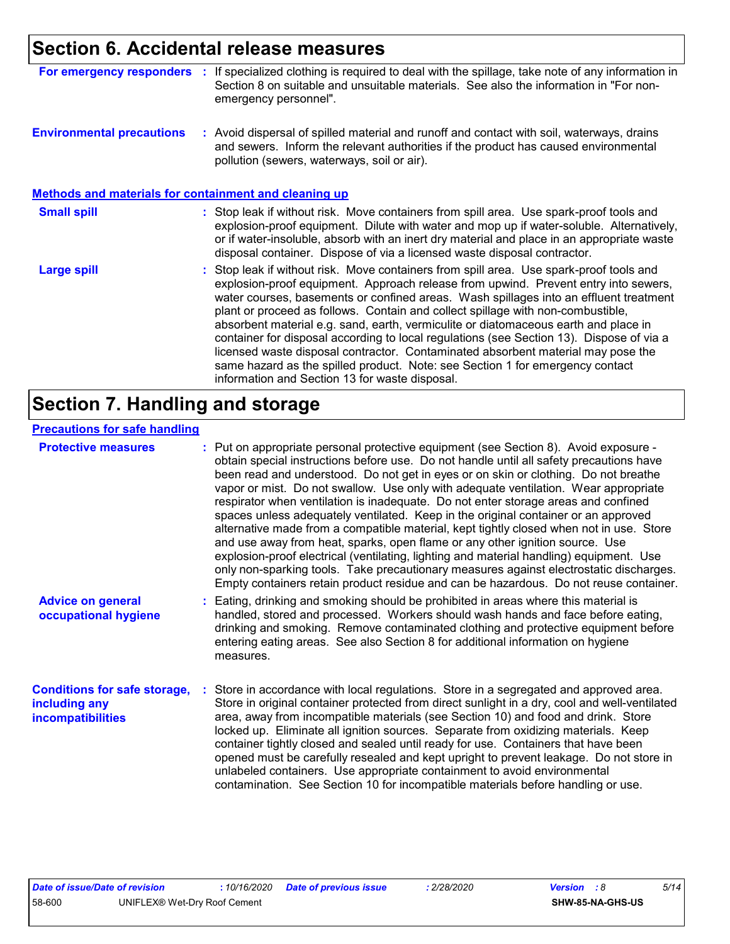### **Section 6. Accidental release measures**

| <b>For emergency responders</b>                              | If specialized clothing is required to deal with the spillage, take note of any information in<br>÷.<br>Section 8 on suitable and unsuitable materials. See also the information in "For non-<br>emergency personnel".                                                                                                                                                                                                                                                                                                                                                                                                                                                                                                                                               |
|--------------------------------------------------------------|----------------------------------------------------------------------------------------------------------------------------------------------------------------------------------------------------------------------------------------------------------------------------------------------------------------------------------------------------------------------------------------------------------------------------------------------------------------------------------------------------------------------------------------------------------------------------------------------------------------------------------------------------------------------------------------------------------------------------------------------------------------------|
| <b>Environmental precautions</b>                             | : Avoid dispersal of spilled material and runoff and contact with soil, waterways, drains<br>and sewers. Inform the relevant authorities if the product has caused environmental<br>pollution (sewers, waterways, soil or air).                                                                                                                                                                                                                                                                                                                                                                                                                                                                                                                                      |
| <b>Methods and materials for containment and cleaning up</b> |                                                                                                                                                                                                                                                                                                                                                                                                                                                                                                                                                                                                                                                                                                                                                                      |
| <b>Small spill</b>                                           | : Stop leak if without risk. Move containers from spill area. Use spark-proof tools and<br>explosion-proof equipment. Dilute with water and mop up if water-soluble. Alternatively,<br>or if water-insoluble, absorb with an inert dry material and place in an appropriate waste<br>disposal container. Dispose of via a licensed waste disposal contractor.                                                                                                                                                                                                                                                                                                                                                                                                        |
| <b>Large spill</b>                                           | : Stop leak if without risk. Move containers from spill area. Use spark-proof tools and<br>explosion-proof equipment. Approach release from upwind. Prevent entry into sewers,<br>water courses, basements or confined areas. Wash spillages into an effluent treatment<br>plant or proceed as follows. Contain and collect spillage with non-combustible,<br>absorbent material e.g. sand, earth, vermiculite or diatomaceous earth and place in<br>container for disposal according to local regulations (see Section 13). Dispose of via a<br>licensed waste disposal contractor. Contaminated absorbent material may pose the<br>same hazard as the spilled product. Note: see Section 1 for emergency contact<br>information and Section 13 for waste disposal. |

### **Section 7. Handling and storage**

#### **Precautions for safe handling**

| <b>Protective measures</b>                                                       | : Put on appropriate personal protective equipment (see Section 8). Avoid exposure -<br>obtain special instructions before use. Do not handle until all safety precautions have<br>been read and understood. Do not get in eyes or on skin or clothing. Do not breathe<br>vapor or mist. Do not swallow. Use only with adequate ventilation. Wear appropriate<br>respirator when ventilation is inadequate. Do not enter storage areas and confined<br>spaces unless adequately ventilated. Keep in the original container or an approved<br>alternative made from a compatible material, kept tightly closed when not in use. Store<br>and use away from heat, sparks, open flame or any other ignition source. Use<br>explosion-proof electrical (ventilating, lighting and material handling) equipment. Use<br>only non-sparking tools. Take precautionary measures against electrostatic discharges.<br>Empty containers retain product residue and can be hazardous. Do not reuse container. |
|----------------------------------------------------------------------------------|----------------------------------------------------------------------------------------------------------------------------------------------------------------------------------------------------------------------------------------------------------------------------------------------------------------------------------------------------------------------------------------------------------------------------------------------------------------------------------------------------------------------------------------------------------------------------------------------------------------------------------------------------------------------------------------------------------------------------------------------------------------------------------------------------------------------------------------------------------------------------------------------------------------------------------------------------------------------------------------------------|
| <b>Advice on general</b><br>occupational hygiene                                 | : Eating, drinking and smoking should be prohibited in areas where this material is<br>handled, stored and processed. Workers should wash hands and face before eating,<br>drinking and smoking. Remove contaminated clothing and protective equipment before<br>entering eating areas. See also Section 8 for additional information on hygiene<br>measures.                                                                                                                                                                                                                                                                                                                                                                                                                                                                                                                                                                                                                                      |
| <b>Conditions for safe storage,</b><br>including any<br><b>incompatibilities</b> | Store in accordance with local regulations. Store in a segregated and approved area.<br>Store in original container protected from direct sunlight in a dry, cool and well-ventilated<br>area, away from incompatible materials (see Section 10) and food and drink. Store<br>locked up. Eliminate all ignition sources. Separate from oxidizing materials. Keep<br>container tightly closed and sealed until ready for use. Containers that have been<br>opened must be carefully resealed and kept upright to prevent leakage. Do not store in<br>unlabeled containers. Use appropriate containment to avoid environmental<br>contamination. See Section 10 for incompatible materials before handling or use.                                                                                                                                                                                                                                                                                   |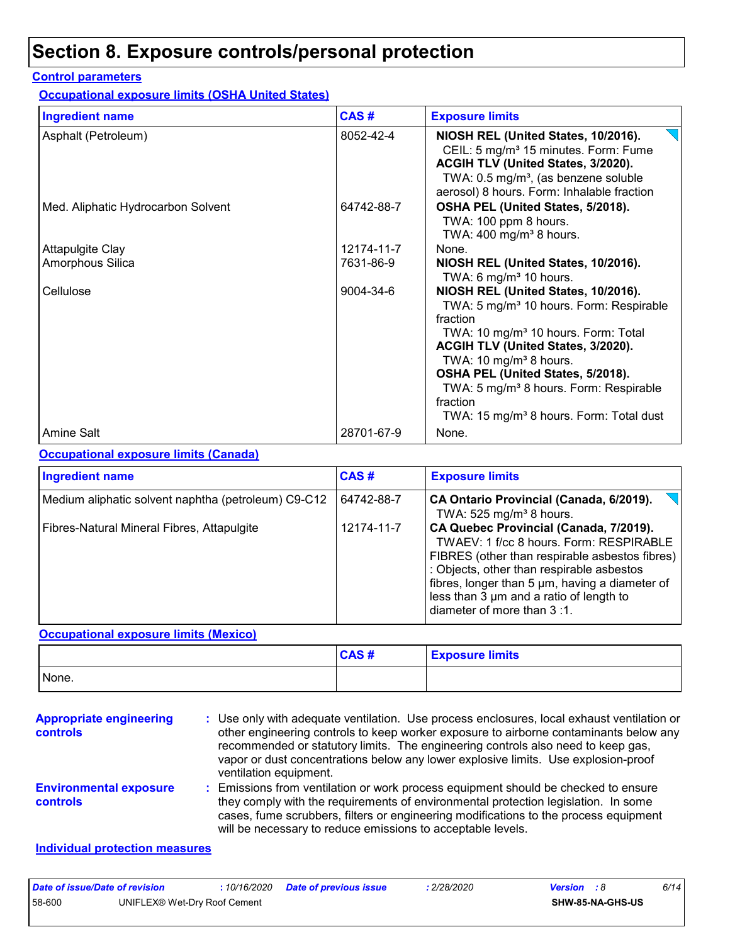### **Section 8. Exposure controls/personal protection**

#### **Control parameters**

**Occupational exposure limits (OSHA United States)**

| <b>Ingredient name</b>             | CAS#       | <b>Exposure limits</b>                                                                                                                                                                                                                                                                                                                                                                              |
|------------------------------------|------------|-----------------------------------------------------------------------------------------------------------------------------------------------------------------------------------------------------------------------------------------------------------------------------------------------------------------------------------------------------------------------------------------------------|
| Asphalt (Petroleum)                | 8052-42-4  | NIOSH REL (United States, 10/2016).<br>CEIL: 5 mg/m <sup>3</sup> 15 minutes. Form: Fume<br>ACGIH TLV (United States, 3/2020).<br>TWA: 0.5 mg/m <sup>3</sup> , (as benzene soluble<br>aerosol) 8 hours. Form: Inhalable fraction                                                                                                                                                                     |
| Med. Aliphatic Hydrocarbon Solvent | 64742-88-7 | OSHA PEL (United States, 5/2018).<br>TWA: 100 ppm 8 hours.<br>TWA: $400 \text{ mg/m}^3$ 8 hours.                                                                                                                                                                                                                                                                                                    |
| <b>Attapulgite Clay</b>            | 12174-11-7 | None.                                                                                                                                                                                                                                                                                                                                                                                               |
| Amorphous Silica                   | 7631-86-9  | NIOSH REL (United States, 10/2016).<br>TWA: 6 mg/m $3$ 10 hours.                                                                                                                                                                                                                                                                                                                                    |
| Cellulose                          | 9004-34-6  | NIOSH REL (United States, 10/2016).<br>TWA: 5 mg/m <sup>3</sup> 10 hours. Form: Respirable<br>fraction<br>TWA: 10 mg/m <sup>3</sup> 10 hours. Form: Total<br>ACGIH TLV (United States, 3/2020).<br>TWA: 10 mg/m <sup>3</sup> 8 hours.<br>OSHA PEL (United States, 5/2018).<br>TWA: 5 mg/m <sup>3</sup> 8 hours. Form: Respirable<br>fraction<br>TWA: 15 mg/m <sup>3</sup> 8 hours. Form: Total dust |
| Amine Salt                         | 28701-67-9 | None.                                                                                                                                                                                                                                                                                                                                                                                               |

#### **Occupational exposure limits (Canada)**

| <b>Ingredient name</b>                              | CAS#       | <b>Exposure limits</b>                                                                                                                                                                                                                                                                                      |
|-----------------------------------------------------|------------|-------------------------------------------------------------------------------------------------------------------------------------------------------------------------------------------------------------------------------------------------------------------------------------------------------------|
| Medium aliphatic solvent naphtha (petroleum) C9-C12 | 64742-88-7 | CA Ontario Provincial (Canada, 6/2019).<br>TWA: 525 mg/m <sup>3</sup> 8 hours.                                                                                                                                                                                                                              |
| Fibres-Natural Mineral Fibres, Attapulgite          | 12174-11-7 | CA Quebec Provincial (Canada, 7/2019).<br>TWAEV: 1 f/cc 8 hours. Form: RESPIRABLE<br>FIBRES (other than respirable asbestos fibres)<br>: Objects, other than respirable asbestos<br>fibres, longer than 5 µm, having a diameter of<br>less than 3 um and a ratio of length to<br>diameter of more than 3:1. |

### **Occupational exposure limits (Mexico)**

|       | CAS# | <b>Exposure limits</b> |
|-------|------|------------------------|
| None. |      |                        |

| <b>Appropriate engineering</b><br><b>controls</b> | : Use only with adequate ventilation. Use process enclosures, local exhaust ventilation or<br>other engineering controls to keep worker exposure to airborne contaminants below any<br>recommended or statutory limits. The engineering controls also need to keep gas,<br>vapor or dust concentrations below any lower explosive limits. Use explosion-proof<br>ventilation equipment. |
|---------------------------------------------------|-----------------------------------------------------------------------------------------------------------------------------------------------------------------------------------------------------------------------------------------------------------------------------------------------------------------------------------------------------------------------------------------|
| <b>Environmental exposure</b><br><b>controls</b>  | : Emissions from ventilation or work process equipment should be checked to ensure<br>they comply with the requirements of environmental protection legislation. In some<br>cases, fume scrubbers, filters or engineering modifications to the process equipment<br>will be necessary to reduce emissions to acceptable levels.                                                         |

### **Individual protection measures**

| Date of issue/Date of revision |                              | : 10/16/2020 Date of previous issue | 2/28/2020 | <b>Version</b> : 8 |                         | 6/14 |
|--------------------------------|------------------------------|-------------------------------------|-----------|--------------------|-------------------------|------|
| 58-600                         | UNIFLEX® Wet-Dry Roof Cement |                                     |           |                    | <b>SHW-85-NA-GHS-US</b> |      |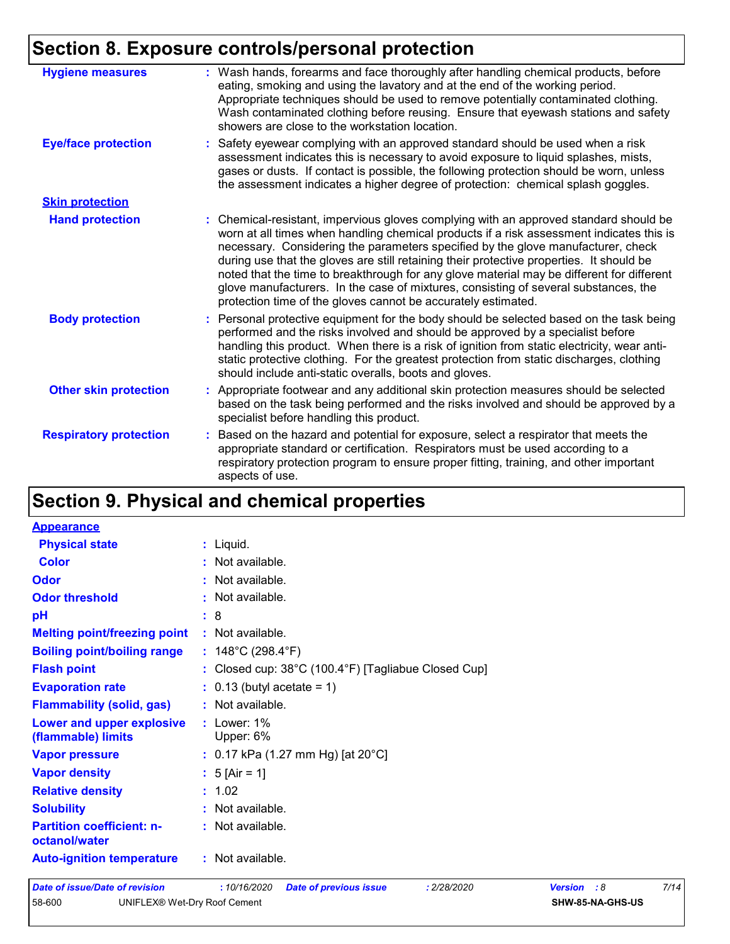### **Section 8. Exposure controls/personal protection**

| <b>Hygiene measures</b>       | : Wash hands, forearms and face thoroughly after handling chemical products, before<br>eating, smoking and using the lavatory and at the end of the working period.<br>Appropriate techniques should be used to remove potentially contaminated clothing.<br>Wash contaminated clothing before reusing. Ensure that eyewash stations and safety<br>showers are close to the workstation location.                                                                                                                                                                                                                      |
|-------------------------------|------------------------------------------------------------------------------------------------------------------------------------------------------------------------------------------------------------------------------------------------------------------------------------------------------------------------------------------------------------------------------------------------------------------------------------------------------------------------------------------------------------------------------------------------------------------------------------------------------------------------|
| <b>Eye/face protection</b>    | : Safety eyewear complying with an approved standard should be used when a risk<br>assessment indicates this is necessary to avoid exposure to liquid splashes, mists,<br>gases or dusts. If contact is possible, the following protection should be worn, unless<br>the assessment indicates a higher degree of protection: chemical splash goggles.                                                                                                                                                                                                                                                                  |
| <b>Skin protection</b>        |                                                                                                                                                                                                                                                                                                                                                                                                                                                                                                                                                                                                                        |
| <b>Hand protection</b>        | : Chemical-resistant, impervious gloves complying with an approved standard should be<br>worn at all times when handling chemical products if a risk assessment indicates this is<br>necessary. Considering the parameters specified by the glove manufacturer, check<br>during use that the gloves are still retaining their protective properties. It should be<br>noted that the time to breakthrough for any glove material may be different for different<br>glove manufacturers. In the case of mixtures, consisting of several substances, the<br>protection time of the gloves cannot be accurately estimated. |
| <b>Body protection</b>        | Personal protective equipment for the body should be selected based on the task being<br>t.<br>performed and the risks involved and should be approved by a specialist before<br>handling this product. When there is a risk of ignition from static electricity, wear anti-<br>static protective clothing. For the greatest protection from static discharges, clothing<br>should include anti-static overalls, boots and gloves.                                                                                                                                                                                     |
| <b>Other skin protection</b>  | : Appropriate footwear and any additional skin protection measures should be selected<br>based on the task being performed and the risks involved and should be approved by a<br>specialist before handling this product.                                                                                                                                                                                                                                                                                                                                                                                              |
| <b>Respiratory protection</b> | Based on the hazard and potential for exposure, select a respirator that meets the<br>÷.<br>appropriate standard or certification. Respirators must be used according to a<br>respiratory protection program to ensure proper fitting, training, and other important<br>aspects of use.                                                                                                                                                                                                                                                                                                                                |

## **Section 9. Physical and chemical properties**

| <b>Appearance</b>                                 |                                                                          |
|---------------------------------------------------|--------------------------------------------------------------------------|
| <b>Physical state</b>                             | $:$ Liquid.                                                              |
| <b>Color</b>                                      | : Not available.                                                         |
| Odor                                              | Not available.                                                           |
| <b>Odor threshold</b>                             | : Not available.                                                         |
| pH                                                | : 8                                                                      |
| <b>Melting point/freezing point</b>               | : Not available.                                                         |
| <b>Boiling point/boiling range</b>                | : $148^{\circ}$ C (298.4 $^{\circ}$ F)                                   |
| <b>Flash point</b>                                | : Closed cup: $38^{\circ}$ C (100.4 $^{\circ}$ F) [Tagliabue Closed Cup] |
| <b>Evaporation rate</b>                           | $\therefore$ 0.13 (butyl acetate = 1)                                    |
| <b>Flammability (solid, gas)</b>                  | : Not available.                                                         |
| Lower and upper explosive<br>(flammable) limits   | $:$ Lower: $1\%$<br>Upper: 6%                                            |
| <b>Vapor pressure</b>                             | : 0.17 kPa (1.27 mm Hg) [at 20°C]                                        |
| <b>Vapor density</b>                              | : $5$ [Air = 1]                                                          |
| <b>Relative density</b>                           | : 1.02                                                                   |
| <b>Solubility</b>                                 | $:$ Not available.                                                       |
| <b>Partition coefficient: n-</b><br>octanol/water | : Not available.                                                         |
| <b>Auto-ignition temperature</b>                  | : Not available.                                                         |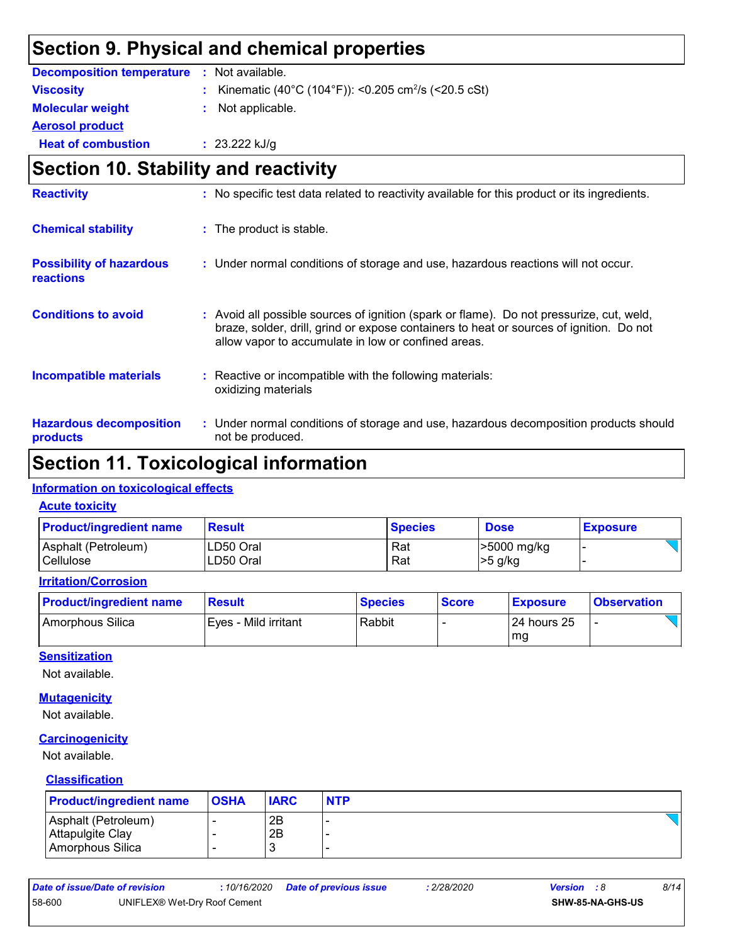### **Section 9. Physical and chemical properties**

| <b>Decomposition temperature</b> | : Not available.                                                  |
|----------------------------------|-------------------------------------------------------------------|
| <b>Viscosity</b>                 | : Kinematic (40°C (104°F)): <0.205 cm <sup>2</sup> /s (<20.5 cSt) |
| <b>Molecular weight</b>          | : Not applicable.                                                 |
| <b>Aerosol product</b>           |                                                                   |
| <b>Heat of combustion</b>        | : $23.222$ kJ/g                                                   |

### **Section 10. Stability and reactivity**

| <b>Reactivity</b>                                   | : No specific test data related to reactivity available for this product or its ingredients.                                                                                                                                               |  |
|-----------------------------------------------------|--------------------------------------------------------------------------------------------------------------------------------------------------------------------------------------------------------------------------------------------|--|
| <b>Chemical stability</b>                           | : The product is stable.                                                                                                                                                                                                                   |  |
| <b>Possibility of hazardous</b><br><b>reactions</b> | : Under normal conditions of storage and use, hazardous reactions will not occur.                                                                                                                                                          |  |
| <b>Conditions to avoid</b>                          | : Avoid all possible sources of ignition (spark or flame). Do not pressurize, cut, weld,<br>braze, solder, drill, grind or expose containers to heat or sources of ignition. Do not<br>allow vapor to accumulate in low or confined areas. |  |
| <b>Incompatible materials</b>                       | Reactive or incompatible with the following materials:<br>oxidizing materials                                                                                                                                                              |  |
| <b>Hazardous decomposition</b><br>products          | : Under normal conditions of storage and use, hazardous decomposition products should<br>not be produced.                                                                                                                                  |  |

### **Section 11. Toxicological information**

#### **Information on toxicological effects**

**Acute toxicity**

| <b>Product/ingredient name</b> | <b>Result</b> | <b>Species</b> | <b>Dose</b> | <b>Exposure</b> |
|--------------------------------|---------------|----------------|-------------|-----------------|
| Asphalt (Petroleum)            | LD50 Oral     | Rat            | -5000 mg/kg |                 |
| Cellulose                      | LD50 Oral     | Rat            | >5 g/kg     |                 |

#### **Irritation/Corrosion**

| <b>Product/ingredient name</b> | <b>Result</b>         | <b>Species</b> | <b>Score</b> | <b>Exposure</b> | <b>Observation</b> |
|--------------------------------|-----------------------|----------------|--------------|-----------------|--------------------|
| Amorphous Silica               | IEves - Mild irritant | Rabbit         |              | 24 hours 25     |                    |
|                                |                       |                |              | mg              |                    |

#### **Sensitization**

Not available.

#### **Mutagenicity**

Not available.

#### **Carcinogenicity**

Not available.

#### **Classification**

| <b>Product/ingredient name</b> | <b>OSHA</b> | <b>IARC</b> | <b>NTP</b> |
|--------------------------------|-------------|-------------|------------|
| Asphalt (Petroleum)            |             | 2B          |            |
| Attapulgite Clay               |             | 2Β          |            |
| Amorphous Silica               |             | З           |            |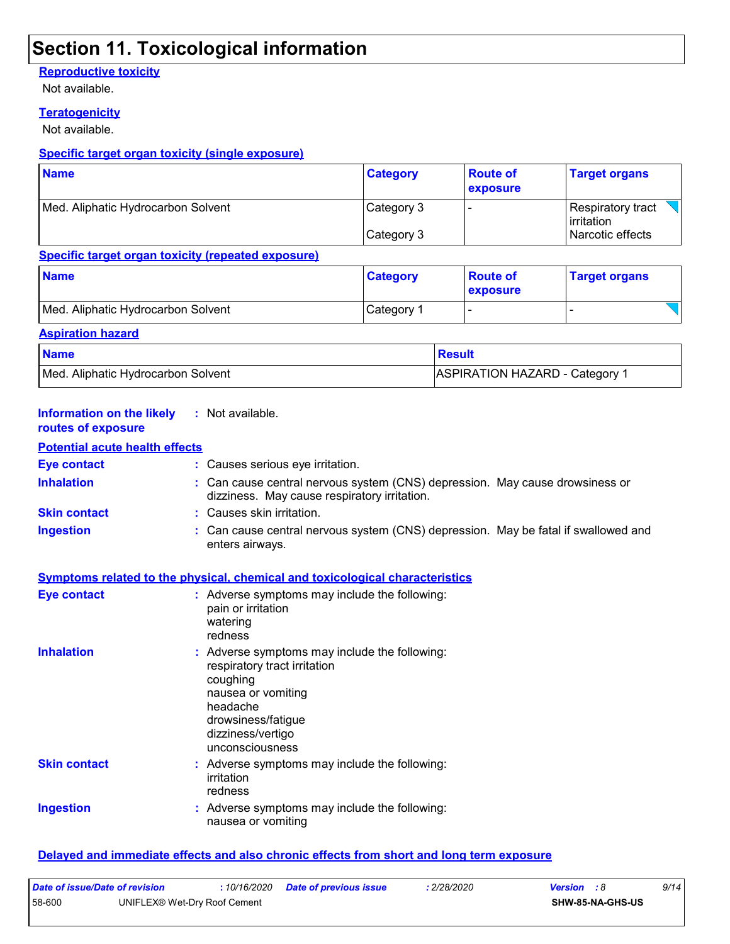### **Section 11. Toxicological information**

### **Reproductive toxicity**

Not available.

#### **Teratogenicity**

Not available.

#### **Specific target organ toxicity (single exposure)**

| <b>Name</b>                        | <b>Category</b> | <b>Route of</b><br>exposure | <b>Target organs</b>                     |  |
|------------------------------------|-----------------|-----------------------------|------------------------------------------|--|
| Med. Aliphatic Hydrocarbon Solvent | Category 3      |                             | Respiratory tract<br><b>l</b> irritation |  |
|                                    | Category 3      |                             | Narcotic effects                         |  |

#### **Specific target organ toxicity (repeated exposure)**

| <b>Name</b>                        | <b>Category</b> | <b>Route of</b><br><b>exposure</b> | <b>Target organs</b>     |
|------------------------------------|-----------------|------------------------------------|--------------------------|
| Med. Aliphatic Hydrocarbon Solvent | Category 1      |                                    | $\overline{\phantom{0}}$ |
| Aeniration hazard                  |                 |                                    |                          |

| <b>Rapitation nazaru</b>           |                                       |  |  |  |
|------------------------------------|---------------------------------------|--|--|--|
| <b>Name</b>                        | Result                                |  |  |  |
| Med. Aliphatic Hydrocarbon Solvent | <b>ASPIRATION HAZARD - Category 1</b> |  |  |  |

| <b>Information on the likely</b><br>routes of exposure | : Not available.                                                                                                                                                                          |
|--------------------------------------------------------|-------------------------------------------------------------------------------------------------------------------------------------------------------------------------------------------|
| <b>Potential acute health effects</b>                  |                                                                                                                                                                                           |
| <b>Eye contact</b>                                     | : Causes serious eye irritation.                                                                                                                                                          |
| <b>Inhalation</b>                                      | : Can cause central nervous system (CNS) depression. May cause drowsiness or<br>dizziness. May cause respiratory irritation.                                                              |
| <b>Skin contact</b>                                    | : Causes skin irritation.                                                                                                                                                                 |
| <b>Ingestion</b>                                       | : Can cause central nervous system (CNS) depression. May be fatal if swallowed and<br>enters airways.                                                                                     |
|                                                        | Symptoms related to the physical, chemical and toxicological characteristics                                                                                                              |
| Eye contact                                            | : Adverse symptoms may include the following:<br>pain or irritation<br>watering<br>redness                                                                                                |
| <b>Inhalation</b>                                      | : Adverse symptoms may include the following:<br>respiratory tract irritation<br>coughing<br>nausea or vomiting<br>headache<br>drowsiness/fatigue<br>dizziness/vertigo<br>unconsciousness |
| <b>Skin contact</b>                                    | : Adverse symptoms may include the following:<br>irritation<br>redness                                                                                                                    |
| <b>Ingestion</b>                                       | : Adverse symptoms may include the following:<br>nausea or vomiting                                                                                                                       |

#### **Delayed and immediate effects and also chronic effects from short and long term exposure**

| Date of issue/Date of revision |                              | 10/16/2020 | <b>Date of previous issue</b> | 2/28/2020 | <b>Version</b> : 8 | 9/14 |
|--------------------------------|------------------------------|------------|-------------------------------|-----------|--------------------|------|
| 58-600                         | UNIFLEX® Wet-Dry Roof Cement |            |                               |           | SHW-85-NA-GHS-US   |      |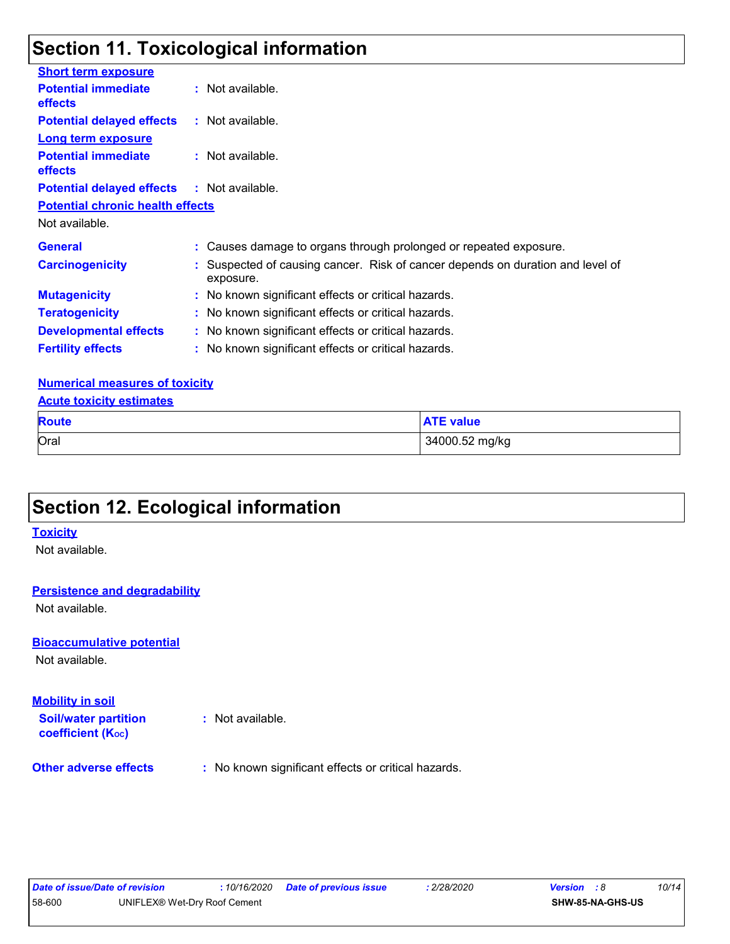### **Section 11. Toxicological information**

| <b>Short term exposure</b>                   |                                                                                             |
|----------------------------------------------|---------------------------------------------------------------------------------------------|
| <b>Potential immediate</b><br><b>effects</b> | $:$ Not available.                                                                          |
| <b>Potential delayed effects</b>             | $:$ Not available.                                                                          |
| <b>Long term exposure</b>                    |                                                                                             |
| <b>Potential immediate</b><br><b>effects</b> | $:$ Not available.                                                                          |
| <b>Potential delayed effects</b>             | : Not available.                                                                            |
| <b>Potential chronic health effects</b>      |                                                                                             |
| Not available.                               |                                                                                             |
| <b>General</b>                               | : Causes damage to organs through prolonged or repeated exposure.                           |
| <b>Carcinogenicity</b>                       | : Suspected of causing cancer. Risk of cancer depends on duration and level of<br>exposure. |
| <b>Mutagenicity</b>                          | : No known significant effects or critical hazards.                                         |
| <b>Teratogenicity</b>                        | : No known significant effects or critical hazards.                                         |
| <b>Developmental effects</b>                 | : No known significant effects or critical hazards.                                         |
| <b>Fertility effects</b>                     | : No known significant effects or critical hazards.                                         |

#### **Numerical measures of toxicity**

#### **Acute toxicity estimates**

| <b>Route</b> | <b>ATE value</b> |
|--------------|------------------|
| Oral         | 34000.52 mg/kg   |

### **Section 12. Ecological information**

#### **Toxicity**

Not available.

#### **Persistence and degradability**

Not available.

#### **Bioaccumulative potential**

Not available.

#### **Mobility in soil**

**Soil/water partition coefficient (Koc)** 

**:** Not available.

**Other adverse effects** : No known significant effects or critical hazards.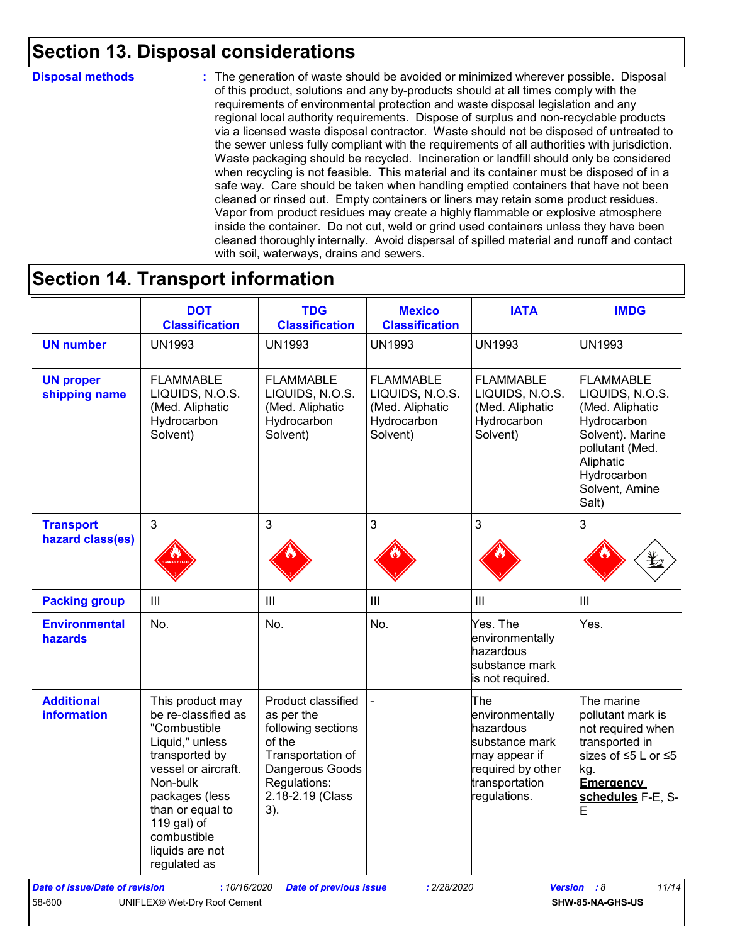### **Section 13. Disposal considerations**

#### **Disposal methods :**

The generation of waste should be avoided or minimized wherever possible. Disposal of this product, solutions and any by-products should at all times comply with the requirements of environmental protection and waste disposal legislation and any regional local authority requirements. Dispose of surplus and non-recyclable products via a licensed waste disposal contractor. Waste should not be disposed of untreated to the sewer unless fully compliant with the requirements of all authorities with jurisdiction. Waste packaging should be recycled. Incineration or landfill should only be considered when recycling is not feasible. This material and its container must be disposed of in a safe way. Care should be taken when handling emptied containers that have not been cleaned or rinsed out. Empty containers or liners may retain some product residues. Vapor from product residues may create a highly flammable or explosive atmosphere inside the container. Do not cut, weld or grind used containers unless they have been cleaned thoroughly internally. Avoid dispersal of spilled material and runoff and contact with soil, waterways, drains and sewers.

### **Section 14. Transport information**

|                                         | <b>DOT</b><br><b>Classification</b>                                                                                                                                                                                                    | <b>TDG</b><br><b>Classification</b>                                                                                                                 | <b>Mexico</b><br><b>Classification</b>                                            | <b>IATA</b>                                                                                                                   | <b>IMDG</b>                                                                                                                                                         |
|-----------------------------------------|----------------------------------------------------------------------------------------------------------------------------------------------------------------------------------------------------------------------------------------|-----------------------------------------------------------------------------------------------------------------------------------------------------|-----------------------------------------------------------------------------------|-------------------------------------------------------------------------------------------------------------------------------|---------------------------------------------------------------------------------------------------------------------------------------------------------------------|
| <b>UN number</b>                        | <b>UN1993</b>                                                                                                                                                                                                                          | <b>UN1993</b>                                                                                                                                       | <b>UN1993</b>                                                                     | <b>UN1993</b>                                                                                                                 | <b>UN1993</b>                                                                                                                                                       |
| <b>UN proper</b><br>shipping name       | <b>FLAMMABLE</b><br>LIQUIDS, N.O.S.<br>(Med. Aliphatic<br>Hydrocarbon<br>Solvent)                                                                                                                                                      | <b>FLAMMABLE</b><br>LIQUIDS, N.O.S.<br>(Med. Aliphatic<br>Hydrocarbon<br>Solvent)                                                                   | <b>FLAMMABLE</b><br>LIQUIDS, N.O.S.<br>(Med. Aliphatic<br>Hydrocarbon<br>Solvent) | <b>FLAMMABLE</b><br>LIQUIDS, N.O.S.<br>(Med. Aliphatic<br>Hydrocarbon<br>Solvent)                                             | <b>FLAMMABLE</b><br>LIQUIDS, N.O.S.<br>(Med. Aliphatic<br>Hydrocarbon<br>Solvent). Marine<br>pollutant (Med.<br>Aliphatic<br>Hydrocarbon<br>Solvent, Amine<br>Salt) |
| <b>Transport</b><br>hazard class(es)    | $\overline{3}$                                                                                                                                                                                                                         | $\mathbf{3}$                                                                                                                                        | 3                                                                                 | 3                                                                                                                             | 3                                                                                                                                                                   |
| <b>Packing group</b>                    | III                                                                                                                                                                                                                                    | III                                                                                                                                                 | $\ensuremath{\mathsf{III}}\xspace$                                                | III                                                                                                                           | III                                                                                                                                                                 |
| <b>Environmental</b><br>hazards         | No.                                                                                                                                                                                                                                    | No.                                                                                                                                                 | No.                                                                               | Yes. The<br>environmentally<br>hazardous<br>substance mark<br>is not required.                                                | Yes.                                                                                                                                                                |
| <b>Additional</b><br><b>information</b> | This product may<br>be re-classified as<br>"Combustible<br>Liquid," unless<br>transported by<br>vessel or aircraft.<br>Non-bulk<br>packages (less<br>than or equal to<br>119 gal) of<br>combustible<br>liquids are not<br>regulated as | Product classified<br>as per the<br>following sections<br>of the<br>Transportation of<br>Dangerous Goods<br>Regulations:<br>2.18-2.19 (Class<br>3). |                                                                                   | The<br>environmentally<br>hazardous<br>substance mark<br>may appear if<br>required by other<br>transportation<br>regulations. | The marine<br>pollutant mark is<br>not required when<br>transported in<br>sizes of ≤5 L or ≤5<br>kg.<br><b>Emergency</b><br>schedules F-E, S-<br>E                  |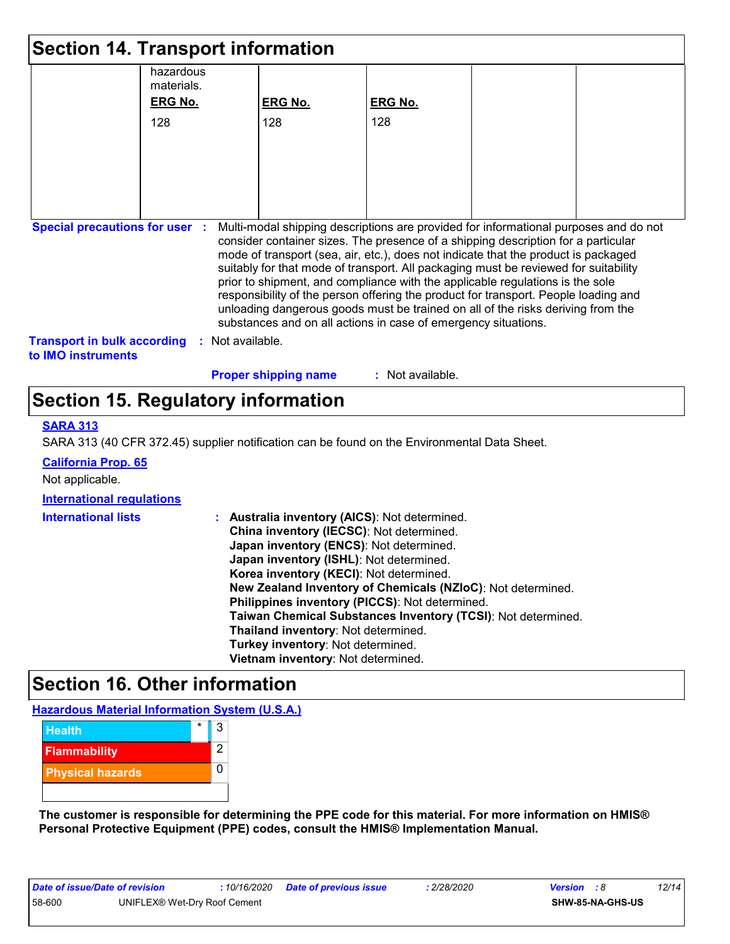| <b>Section 14. Transport information</b>                        |                         |                             |                                                                                                                                                                                                                                                                                                                                                                                                                                                                                                                                                                                             |                                                                                      |
|-----------------------------------------------------------------|-------------------------|-----------------------------|---------------------------------------------------------------------------------------------------------------------------------------------------------------------------------------------------------------------------------------------------------------------------------------------------------------------------------------------------------------------------------------------------------------------------------------------------------------------------------------------------------------------------------------------------------------------------------------------|--------------------------------------------------------------------------------------|
|                                                                 | hazardous<br>materials. |                             |                                                                                                                                                                                                                                                                                                                                                                                                                                                                                                                                                                                             |                                                                                      |
|                                                                 | <b>ERG No.</b>          | <b>ERG No.</b>              | <b>ERG No.</b>                                                                                                                                                                                                                                                                                                                                                                                                                                                                                                                                                                              |                                                                                      |
|                                                                 | 128                     | 128                         | 128                                                                                                                                                                                                                                                                                                                                                                                                                                                                                                                                                                                         |                                                                                      |
|                                                                 |                         |                             |                                                                                                                                                                                                                                                                                                                                                                                                                                                                                                                                                                                             |                                                                                      |
|                                                                 |                         |                             |                                                                                                                                                                                                                                                                                                                                                                                                                                                                                                                                                                                             |                                                                                      |
|                                                                 |                         |                             |                                                                                                                                                                                                                                                                                                                                                                                                                                                                                                                                                                                             |                                                                                      |
| <b>Special precautions for user :</b>                           |                         |                             | consider container sizes. The presence of a shipping description for a particular<br>mode of transport (sea, air, etc.), does not indicate that the product is packaged<br>suitably for that mode of transport. All packaging must be reviewed for suitability<br>prior to shipment, and compliance with the applicable regulations is the sole<br>responsibility of the person offering the product for transport. People loading and<br>unloading dangerous goods must be trained on all of the risks deriving from the<br>substances and on all actions in case of emergency situations. | Multi-modal shipping descriptions are provided for informational purposes and do not |
| <b>Transport in bulk according</b><br>to <b>IMO</b> instruments |                         | : Not available.            |                                                                                                                                                                                                                                                                                                                                                                                                                                                                                                                                                                                             |                                                                                      |
|                                                                 |                         | <b>Proper shipping name</b> | : Not available.                                                                                                                                                                                                                                                                                                                                                                                                                                                                                                                                                                            |                                                                                      |

### **Section 15. Regulatory information**

#### **SARA 313**

SARA 313 (40 CFR 372.45) supplier notification can be found on the Environmental Data Sheet.

**California Prop. 65**

Not applicable.

#### **International regulations**

| <b>International lists</b> | Australia inventory (AICS): Not determined.                  |
|----------------------------|--------------------------------------------------------------|
|                            | China inventory (IECSC): Not determined.                     |
|                            | Japan inventory (ENCS): Not determined.                      |
|                            | Japan inventory (ISHL): Not determined.                      |
|                            | Korea inventory (KECI): Not determined.                      |
|                            | New Zealand Inventory of Chemicals (NZIoC): Not determined.  |
|                            | Philippines inventory (PICCS): Not determined.               |
|                            | Taiwan Chemical Substances Inventory (TCSI): Not determined. |
|                            | Thailand inventory: Not determined.                          |
|                            | Turkey inventory: Not determined.                            |
|                            | Vietnam inventory: Not determined.                           |

### **Section 16. Other information**

**Hazardous Material Information System (U.S.A.)**



**The customer is responsible for determining the PPE code for this material. For more information on HMIS® Personal Protective Equipment (PPE) codes, consult the HMIS® Implementation Manual.**